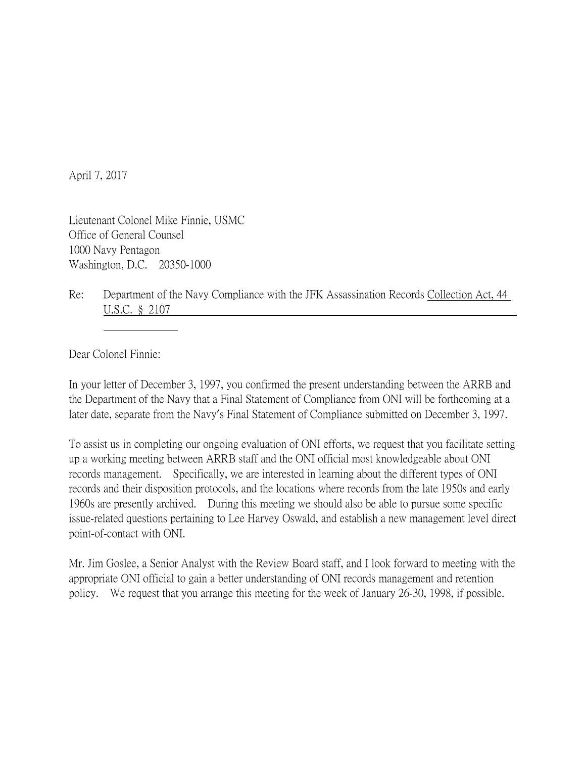April 7, 2017

Lieutenant Colonel Mike Finnie, USMC Office of General Counsel 1000 Navy Pentagon Washington, D.C. 20350-1000

Re: Department of the Navy Compliance with the JFK Assassination Records Collection Act, 44 U.S.C. § 2107

Dear Colonel Finnie:

In your letter of December 3, 1997, you confirmed the present understanding between the ARRB and the Department of the Navy that a Final Statement of Compliance from ONI will be forthcoming at a later date, separate from the Navy's Final Statement of Compliance submitted on December 3, 1997.

To assist us in completing our ongoing evaluation of ONI efforts, we request that you facilitate setting up a working meeting between ARRB staff and the ONI official most knowledgeable about ONI records management. Specifically, we are interested in learning about the different types of ONI records and their disposition protocols, and the locations where records from the late 1950s and early 1960s are presently archived. During this meeting we should also be able to pursue some specific issue-related questions pertaining to Lee Harvey Oswald, and establish a new management level direct point-of-contact with ONI.

Mr. Jim Goslee, a Senior Analyst with the Review Board staff, and I look forward to meeting with the appropriate ONI official to gain a better understanding of ONI records management and retention policy. We request that you arrange this meeting for the week of January 26-30, 1998, if possible.